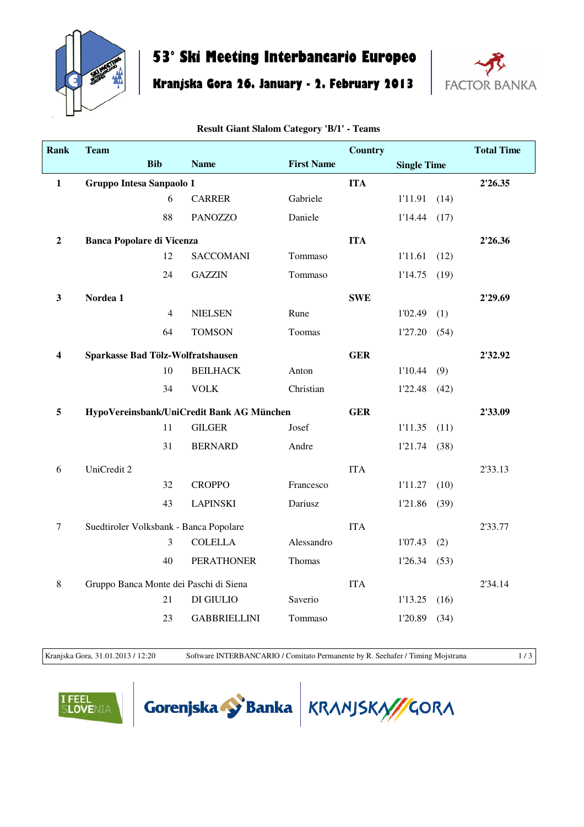

## **53° Ski Meeting Interbancario Europeo**

**Kranjska Gora 26. January - 2. February 2013**



| <b>Rank</b>             | <b>Team</b>                       |            |                                           |                   | <b>Country</b> |                    |      | <b>Total Time</b> |
|-------------------------|-----------------------------------|------------|-------------------------------------------|-------------------|----------------|--------------------|------|-------------------|
|                         |                                   | <b>Bib</b> | <b>Name</b>                               | <b>First Name</b> |                | <b>Single Time</b> |      |                   |
| 1                       | Gruppo Intesa Sanpaolo 1          |            |                                           |                   | <b>ITA</b>     |                    |      | 2'26.35           |
|                         |                                   | 6          | <b>CARRER</b>                             | Gabriele          |                | 1'11.91            | (14) |                   |
|                         |                                   | 88         | <b>PANOZZO</b>                            | Daniele           |                | 1'14.44            | (17) |                   |
| $\mathbf{2}$            | <b>Banca Popolare di Vicenza</b>  |            |                                           |                   | <b>ITA</b>     |                    |      | 2'26.36           |
|                         |                                   | 12         | <b>SACCOMANI</b>                          | Tommaso           |                | 1'11.61            | (12) |                   |
|                         |                                   | 24         | <b>GAZZIN</b>                             | Tommaso           |                | 1'14.75            | (19) |                   |
| $\mathbf{3}$            | Nordea 1                          |            |                                           |                   | <b>SWE</b>     |                    |      | 2'29.69           |
|                         |                                   | 4          | <b>NIELSEN</b>                            | Rune              |                | 1'02.49            | (1)  |                   |
|                         |                                   | 64         | <b>TOMSON</b>                             | Toomas            |                | 1'27.20            | (54) |                   |
| $\overline{\mathbf{4}}$ | Sparkasse Bad Tölz-Wolfratshausen |            |                                           |                   | <b>GER</b>     |                    |      | 2'32.92           |
|                         |                                   | 10         | <b>BEILHACK</b>                           | Anton             |                | 1'10.44            | (9)  |                   |
|                         |                                   | 34         | <b>VOLK</b>                               | Christian         |                | 1'22.48            | (42) |                   |
| 5                       |                                   |            | HypoVereinsbank/UniCredit Bank AG München |                   | <b>GER</b>     |                    |      | 2'33.09           |
|                         |                                   | 11         | <b>GILGER</b>                             | Josef             |                | 1'11.35            | (11) |                   |
|                         |                                   | 31         | <b>BERNARD</b>                            | Andre             |                | 1'21.74            | (38) |                   |
| 6                       | UniCredit 2                       |            |                                           |                   | <b>ITA</b>     |                    |      | 2'33.13           |
|                         |                                   | 32         | <b>CROPPO</b>                             | Francesco         |                | 1'11.27            | (10) |                   |
|                         |                                   | 43         | <b>LAPINSKI</b>                           | Dariusz           |                | 1'21.86            | (39) |                   |
| $\boldsymbol{7}$        |                                   |            | Suedtiroler Volksbank - Banca Popolare    |                   | <b>ITA</b>     |                    |      | 2'33.77           |
|                         |                                   | 3          | <b>COLELLA</b>                            | Alessandro        |                | 1'07.43            | (2)  |                   |
|                         |                                   | 40         | <b>PERATHONER</b>                         | Thomas            |                | 1'26.34            | (53) |                   |
| 8                       |                                   |            | Gruppo Banca Monte dei Paschi di Siena    |                   | <b>ITA</b>     |                    |      | 2'34.14           |
|                         |                                   | 21         | DI GIULIO                                 | Saverio           |                | 1'13.25            | (16) |                   |
|                         |                                   | 23         | <b>GABBRIELLINI</b>                       | Tommaso           |                | 1'20.89            | (34) |                   |

**Result Giant Slalom Category 'B/1' - Teams**

Kranjska Gora, 31.01.2013 / 12:20 Software INTERBANCARIO / Comitato Permanente by R. Seehafer / Timing Mojstrana 1 / 3

**OVENIA** 



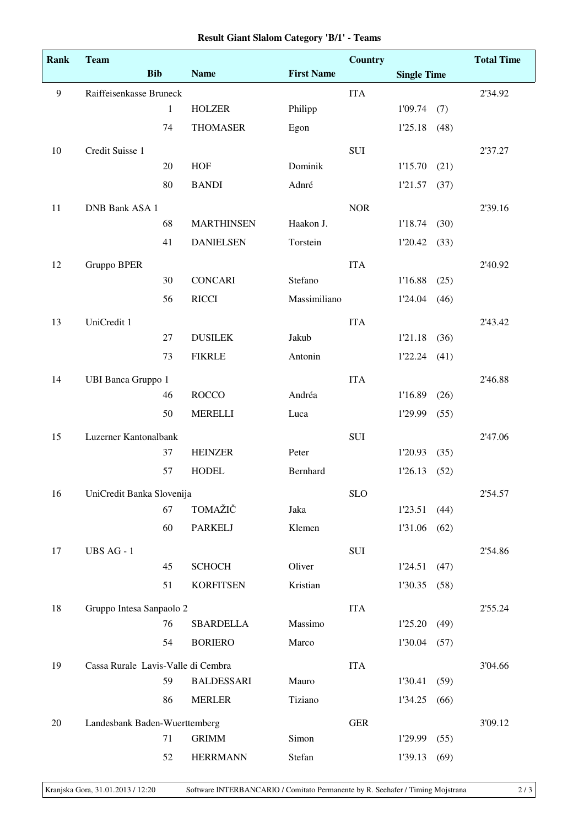| Rank | <b>Team</b>                        |              |                   |                   | <b>Country</b> |                    |      | <b>Total Time</b> |
|------|------------------------------------|--------------|-------------------|-------------------|----------------|--------------------|------|-------------------|
|      |                                    | <b>Bib</b>   | <b>Name</b>       | <b>First Name</b> |                | <b>Single Time</b> |      |                   |
| 9    | Raiffeisenkasse Bruneck            |              |                   |                   | <b>ITA</b>     |                    |      | 2'34.92           |
|      |                                    | $\mathbf{1}$ | <b>HOLZER</b>     | Philipp           |                | 1'09.74            | (7)  |                   |
|      |                                    | 74           | <b>THOMASER</b>   | Egon              |                | 1'25.18            | (48) |                   |
| 10   | Credit Suisse 1                    |              |                   |                   | SUI            |                    |      | 2'37.27           |
|      |                                    | 20           | <b>HOF</b>        | Dominik           |                | 1'15.70            | (21) |                   |
|      |                                    | 80           | <b>BANDI</b>      | Adnré             |                | 1'21.57            | (37) |                   |
| 11   | DNB Bank ASA 1                     |              |                   |                   | <b>NOR</b>     |                    |      | 2'39.16           |
|      |                                    | 68           | <b>MARTHINSEN</b> | Haakon J.         |                | 1'18.74            | (30) |                   |
|      |                                    | 41           | <b>DANIELSEN</b>  | Torstein          |                | 1'20.42            | (33) |                   |
| 12   | Gruppo BPER                        |              |                   |                   | <b>ITA</b>     |                    |      | 2'40.92           |
|      |                                    | 30           | <b>CONCARI</b>    | Stefano           |                | 1'16.88            | (25) |                   |
|      |                                    | 56           | <b>RICCI</b>      | Massimiliano      |                | 1'24.04            | (46) |                   |
| 13   | UniCredit 1                        |              |                   |                   | <b>ITA</b>     |                    |      | 2'43.42           |
|      |                                    | 27           | <b>DUSILEK</b>    | Jakub             |                | 1'21.18            | (36) |                   |
|      |                                    | 73           | <b>FIKRLE</b>     | Antonin           |                | 1'22.24            | (41) |                   |
| 14   | <b>UBI Banca Gruppo 1</b>          |              |                   |                   | <b>ITA</b>     |                    |      | 2'46.88           |
|      |                                    | 46           | <b>ROCCO</b>      | Andréa            |                | 1'16.89            | (26) |                   |
|      |                                    | 50           | <b>MERELLI</b>    | Luca              |                | 1'29.99            | (55) |                   |
| 15   | Luzerner Kantonalbank              |              |                   |                   | SUI            |                    |      | 2'47.06           |
|      |                                    | 37           | <b>HEINZER</b>    | Peter             |                | 1'20.93            | (35) |                   |
|      |                                    | 57           | <b>HODEL</b>      | Bernhard          |                | 1'26.13            | (52) |                   |
| 16   | UniCredit Banka Slovenija          |              |                   |                   | <b>SLO</b>     |                    |      | 2'54.57           |
|      |                                    | 67           | TOMAŽIČ           | Jaka              |                | 1'23.51            | (44) |                   |
|      |                                    | 60           | <b>PARKELJ</b>    | Klemen            |                | 1'31.06            | (62) |                   |
| 17   | UBS AG - 1                         |              |                   |                   | SUI            |                    |      | 2'54.86           |
|      |                                    | 45           | <b>SCHOCH</b>     | Oliver            |                | 1'24.51            | (47) |                   |
|      |                                    | 51           | <b>KORFITSEN</b>  | Kristian          |                | 1'30.35            | (58) |                   |
| 18   | Gruppo Intesa Sanpaolo 2           |              |                   |                   | <b>ITA</b>     |                    |      | 2'55.24           |
|      |                                    | 76           | <b>SBARDELLA</b>  | Massimo           |                | 1'25.20            | (49) |                   |
|      |                                    | 54           | <b>BORIERO</b>    | Marco             |                | 1'30.04            | (57) |                   |
| 19   | Cassa Rurale Lavis-Valle di Cembra |              |                   |                   | <b>ITA</b>     |                    |      | 3'04.66           |
|      |                                    | 59           | <b>BALDESSARI</b> | Mauro             |                | 1'30.41            | (59) |                   |
|      |                                    | 86           | <b>MERLER</b>     | Tiziano           |                | 1'34.25            | (66) |                   |
| 20   | Landesbank Baden-Wuerttemberg      |              |                   |                   | <b>GER</b>     |                    |      | 3'09.12           |
|      |                                    | 71           | <b>GRIMM</b>      | Simon             |                | 1'29.99            | (55) |                   |
|      |                                    | 52           | <b>HERRMANN</b>   | Stefan            |                | 1'39.13            | (69) |                   |